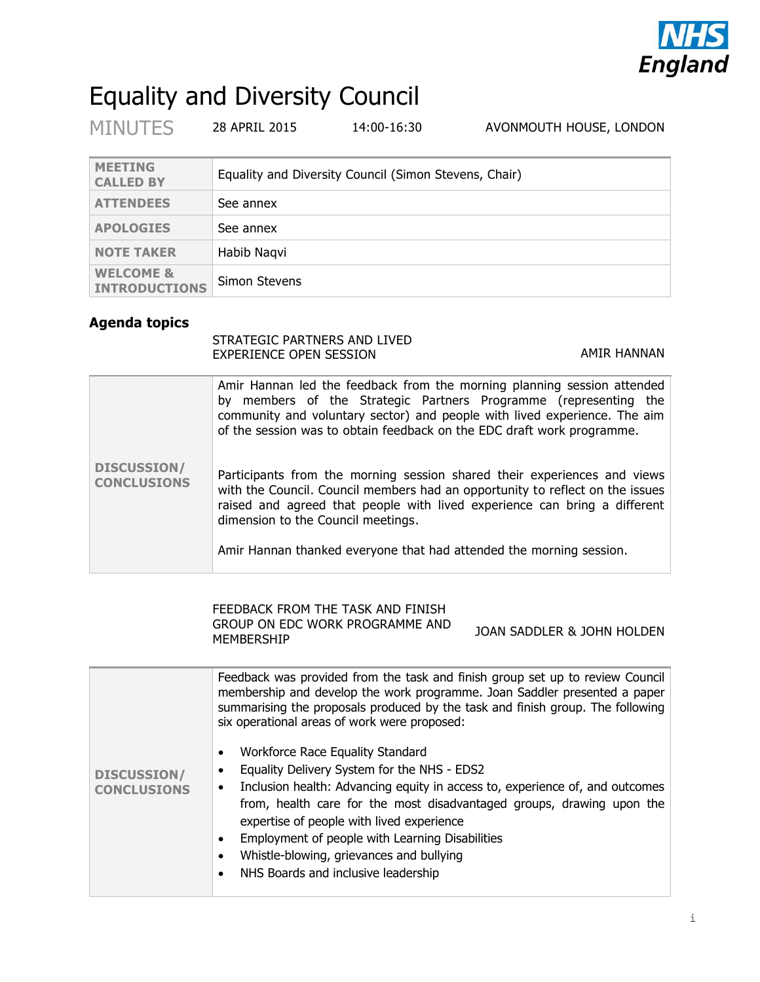

# Equality and Diversity Council

| <b>MINUTES</b>                               | 28 APRIL 2015 | 14:00-16:30                                           | AVONMOUTH HOUSE, LONDON |
|----------------------------------------------|---------------|-------------------------------------------------------|-------------------------|
| <b>MEETING</b><br><b>CALLED BY</b>           |               | Equality and Diversity Council (Simon Stevens, Chair) |                         |
| <b>ATTENDEES</b>                             | See annex     |                                                       |                         |
| <b>APOLOGIES</b>                             | See annex     |                                                       |                         |
| <b>NOTE TAKER</b>                            | Habib Naqvi   |                                                       |                         |
| <b>WELCOME &amp;</b><br><b>INTRODUCTIONS</b> | Simon Stevens |                                                       |                         |

### **Agenda topics**

#### STRATEGIC PARTNERS AND LIVED EXPERIENCE OPEN SESSION AMIR HANNAN

|                                          | Amir Hannan led the feedback from the morning planning session attended<br>by members of the Strategic Partners Programme (representing the<br>community and voluntary sector) and people with lived experience. The aim<br>of the session was to obtain feedback on the EDC draft work programme. |
|------------------------------------------|----------------------------------------------------------------------------------------------------------------------------------------------------------------------------------------------------------------------------------------------------------------------------------------------------|
| <b>DISCUSSION/</b><br><b>CONCLUSIONS</b> | Participants from the morning session shared their experiences and views<br>with the Council. Council members had an opportunity to reflect on the issues<br>raised and agreed that people with lived experience can bring a different<br>dimension to the Council meetings.                       |
|                                          | Amir Hannan thanked everyone that had attended the morning session.                                                                                                                                                                                                                                |

#### FEEDBACK FROM THE TASK AND FINISH GROUP ON EDC WORK PROGRAMME AND GROUP ON EDC WORK PROGRAMME AND JOAN SADDLER & JOHN HOLDEN

|                    | Feedback was provided from the task and finish group set up to review Council<br>membership and develop the work programme. Joan Saddler presented a paper<br>summarising the proposals produced by the task and finish group. The following<br>six operational areas of work were proposed: |  |  |  |
|--------------------|----------------------------------------------------------------------------------------------------------------------------------------------------------------------------------------------------------------------------------------------------------------------------------------------|--|--|--|
|                    | Workforce Race Equality Standard<br>Equality Delivery System for the NHS - EDS2                                                                                                                                                                                                              |  |  |  |
| <b>DISCUSSION/</b> |                                                                                                                                                                                                                                                                                              |  |  |  |
| <b>CONCLUSIONS</b> | Inclusion health: Advancing equity in access to, experience of, and outcomes                                                                                                                                                                                                                 |  |  |  |
|                    | from, health care for the most disadvantaged groups, drawing upon the<br>expertise of people with lived experience                                                                                                                                                                           |  |  |  |
|                    |                                                                                                                                                                                                                                                                                              |  |  |  |
|                    | Employment of people with Learning Disabilities                                                                                                                                                                                                                                              |  |  |  |
|                    | Whistle-blowing, grievances and bullying                                                                                                                                                                                                                                                     |  |  |  |
|                    | NHS Boards and inclusive leadership                                                                                                                                                                                                                                                          |  |  |  |
|                    |                                                                                                                                                                                                                                                                                              |  |  |  |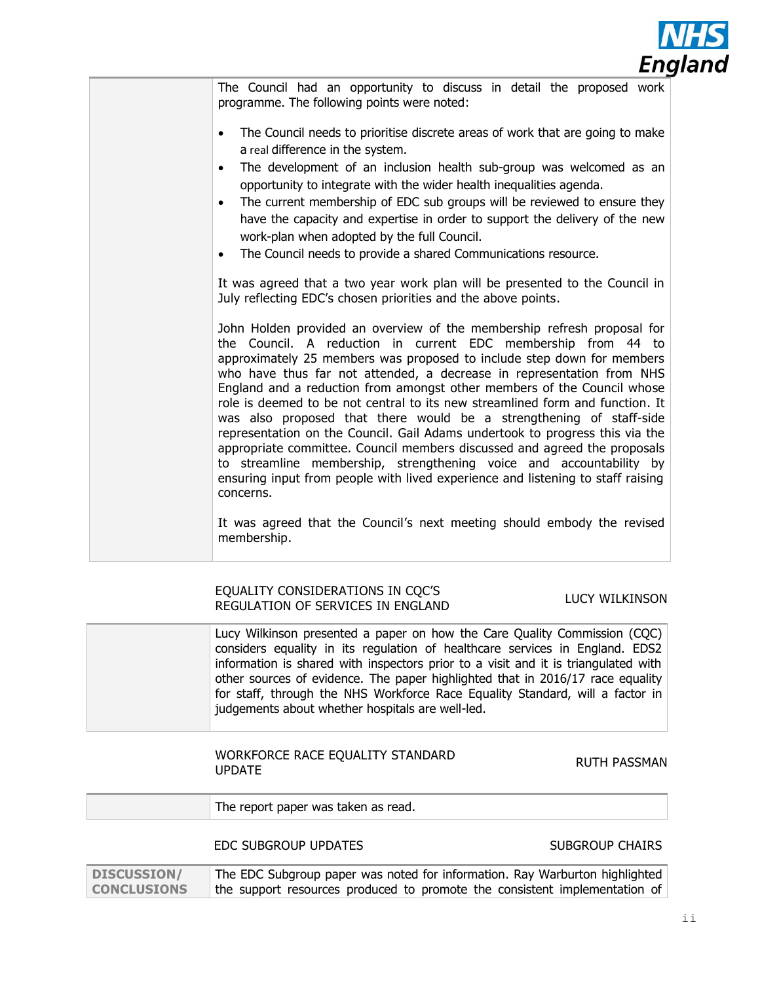

The Council had an opportunity to discuss in detail the proposed work programme. The following points were noted: The Council needs to prioritise discrete areas of work that are going to make a real difference in the system. The development of an inclusion health sub-group was welcomed as an opportunity to integrate with the wider health inequalities agenda. • The current membership of EDC sub groups will be reviewed to ensure they have the capacity and expertise in order to support the delivery of the new work-plan when adopted by the full Council. • The Council needs to provide a shared Communications resource. It was agreed that a two year work plan will be presented to the Council in July reflecting EDC's chosen priorities and the above points. John Holden provided an overview of the membership refresh proposal for the Council. A reduction in current EDC membership from 44 to approximately 25 members was proposed to include step down for members who have thus far not attended, a decrease in representation from NHS England and a reduction from amongst other members of the Council whose role is deemed to be not central to its new streamlined form and function. It was also proposed that there would be a strengthening of staff-side representation on the Council. Gail Adams undertook to progress this via the appropriate committee. Council members discussed and agreed the proposals to streamline membership, strengthening voice and accountability by ensuring input from people with lived experience and listening to staff raising concerns. It was agreed that the Council's next meeting should embody the revised membership.

#### EQUALITY CONSIDERATIONS IN CQC'S EQUALITY CONSIDENTIONS IN COC 5<br>REGULATION OF SERVICES IN ENGLAND

Lucy Wilkinson presented a paper on how the Care Quality Commission (CQC) considers equality in its regulation of healthcare services in England. EDS2 information is shared with inspectors prior to a visit and it is triangulated with other sources of evidence. The paper highlighted that in 2016/17 race equality for staff, through the NHS Workforce Race Equality Standard, will a factor in judgements about whether hospitals are well-led.

#### WORKFORCE RACE EQUALITY STANDARD WONNI ONCE NACE EQUALITY STANDAND<br>UPDATE

| report paper was taken as read.<br>l he |
|-----------------------------------------|
|                                         |

EDC SUBGROUP UPDATES SUBGROUP CHAIRS

**DISCUSSION/ CONCLUSIONS** The EDC Subgroup paper was noted for information. Ray Warburton highlighted the support resources produced to promote the consistent implementation of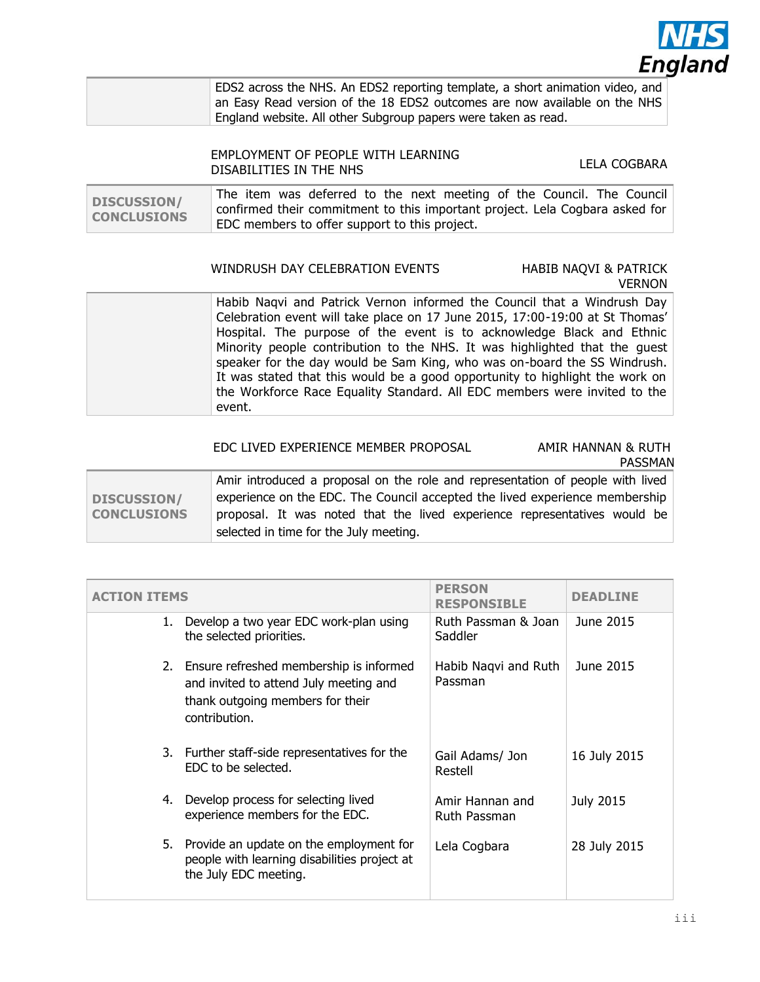

| EDS2 across the NHS. An EDS2 reporting template, a short animation video, and |
|-------------------------------------------------------------------------------|
| an Easy Read version of the 18 EDS2 outcomes are now available on the NHS     |
| England website. All other Subgroup papers were taken as read.                |

#### EMPLOYMENT OF PEOPLE WITH LEARNING DISABILITIES IN THE NHS<br>DISABILITIES IN THE NHS

| <b>DISCUSSION/</b><br><b>CONCLUSIONS</b> | The item was deferred to the next meeting of the Council. The Council        |
|------------------------------------------|------------------------------------------------------------------------------|
|                                          | confirmed their commitment to this important project. Lela Cogbara asked for |
|                                          | EDC members to offer support to this project.                                |

#### WINDRUSH DAY CELEBRATION EVENTS HABIB NAQVI & PATRICK

## VERNON

| Habib Naqvi and Patrick Vernon informed the Council that a Windrush Day      |
|------------------------------------------------------------------------------|
| Celebration event will take place on 17 June 2015, 17:00-19:00 at St Thomas' |
| Hospital. The purpose of the event is to acknowledge Black and Ethnic        |
| Minority people contribution to the NHS. It was highlighted that the guest   |
| speaker for the day would be Sam King, who was on-board the SS Windrush.     |
| It was stated that this would be a good opportunity to highlight the work on |
| the Workforce Race Equality Standard. All EDC members were invited to the    |
| event.                                                                       |
|                                                                              |

#### EDC LIVED EXPERIENCE MEMBER PROPOSAL AMIR HANNAN & RUTH

**PASSMAN** 

|                    | Amir introduced a proposal on the role and representation of people with lived |  |  |
|--------------------|--------------------------------------------------------------------------------|--|--|
| <b>DISCUSSION/</b> | experience on the EDC. The Council accepted the lived experience membership    |  |  |
| <b>CONCLUSIONS</b> | proposal. It was noted that the lived experience representatives would be      |  |  |
|                    | selected in time for the July meeting.                                         |  |  |

| <b>ACTION ITEMS</b> |                                                                                                                                           | <b>PERSON</b><br><b>RESPONSIBLE</b> | <b>DEADLINE</b>  |
|---------------------|-------------------------------------------------------------------------------------------------------------------------------------------|-------------------------------------|------------------|
| 1.                  | Develop a two year EDC work-plan using<br>the selected priorities.                                                                        | Ruth Passman & Joan<br>Saddler      | June 2015        |
|                     | 2. Ensure refreshed membership is informed<br>and invited to attend July meeting and<br>thank outgoing members for their<br>contribution. | Habib Nagvi and Ruth<br>Passman     | June 2015        |
|                     | 3. Further staff-side representatives for the<br>EDC to be selected.                                                                      | Gail Adams/ Jon<br>Restell          | 16 July 2015     |
| 4.                  | Develop process for selecting lived<br>experience members for the EDC.                                                                    | Amir Hannan and<br>Ruth Passman     | <b>July 2015</b> |
| 5.                  | Provide an update on the employment for<br>people with learning disabilities project at<br>the July EDC meeting.                          | Lela Cogbara                        | 28 July 2015     |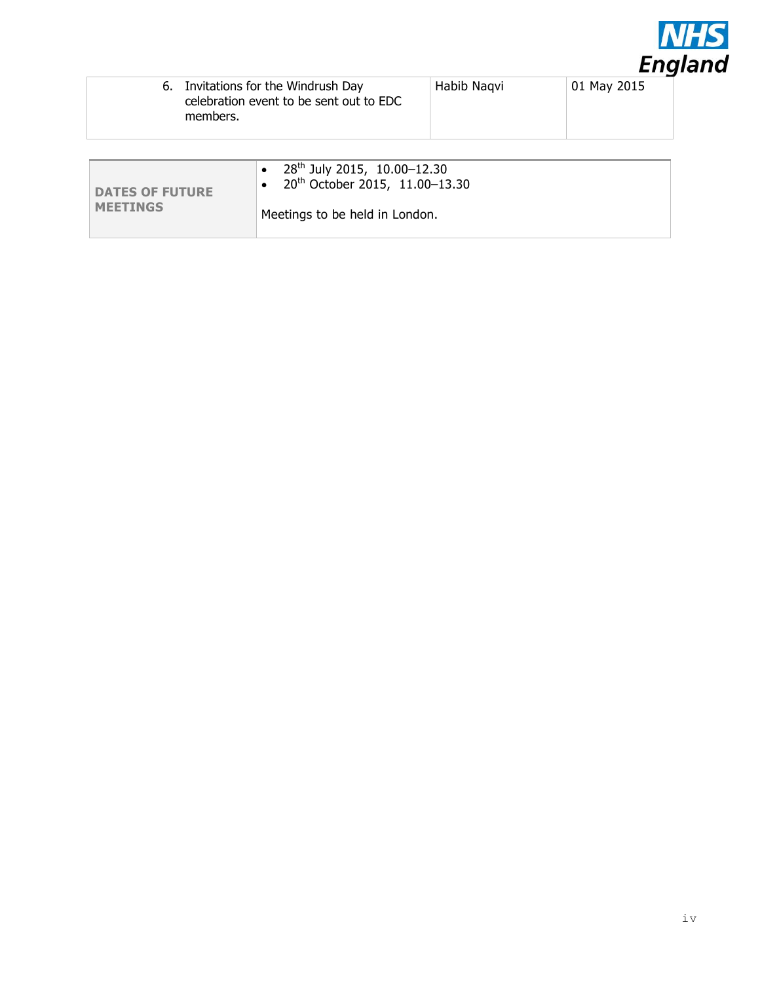

| 6. Invitations for the Windrush Day<br>Habib Nagvi<br>celebration event to be sent out to EDC<br>members. |  | 01 May 2015 |
|-----------------------------------------------------------------------------------------------------------|--|-------------|
|                                                                                                           |  |             |
| 28 <sup>th</sup> July 2015, 10.00-12.30                                                                   |  |             |

| <b>DATES OF FUTURE</b> | 28 <sup>th</sup> July 2015, 10.00-12.30<br>$20^{th}$ October 2015, 11.00-13.30 |
|------------------------|--------------------------------------------------------------------------------|
| <b>MEETINGS</b>        | Meetings to be held in London.                                                 |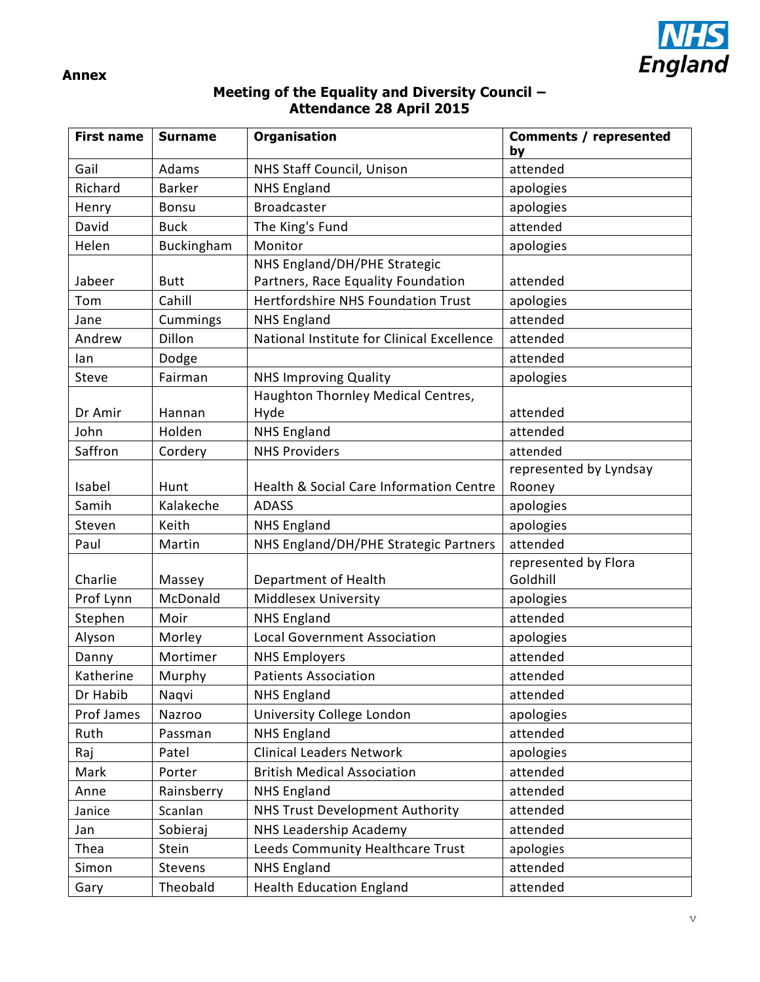

#### **Annex**

#### **Meeting of the Equality and Diversity Council – Attendance 28 April 2015**

| <b>First name</b> | <b>Surname</b> | Organisation                               | <b>Comments / represented</b><br>by |
|-------------------|----------------|--------------------------------------------|-------------------------------------|
| Gail              | Adams          | NHS Staff Council, Unison                  | attended                            |
| Richard           | <b>Barker</b>  | <b>NHS England</b>                         | apologies                           |
| Henry             | <b>Bonsu</b>   | <b>Broadcaster</b>                         | apologies                           |
| David             | <b>Buck</b>    | The King's Fund                            | attended                            |
| Helen             | Buckingham     | Monitor                                    | apologies                           |
|                   |                | NHS England/DH/PHE Strategic               |                                     |
| Jabeer            | <b>Butt</b>    | Partners, Race Equality Foundation         | attended                            |
| Tom               | Cahill         | <b>Hertfordshire NHS Foundation Trust</b>  | apologies                           |
| Jane              | Cummings       | <b>NHS England</b>                         | attended                            |
| Andrew            | Dillon         | National Institute for Clinical Excellence | attended                            |
| lan               | Dodge          |                                            | attended                            |
| Steve             | Fairman        | <b>NHS Improving Quality</b>               | apologies                           |
|                   |                | Haughton Thornley Medical Centres,         |                                     |
| Dr Amir           | Hannan         | Hyde                                       | attended                            |
| John              | Holden         | <b>NHS England</b>                         | attended                            |
| Saffron           | Cordery        | <b>NHS Providers</b>                       | attended                            |
|                   |                |                                            | represented by Lyndsay              |
| Isabel            | Hunt           | Health & Social Care Information Centre    | Rooney                              |
| Samih             | Kalakeche      | <b>ADASS</b>                               | apologies                           |
| Steven            | Keith          | <b>NHS England</b>                         | apologies                           |
| Paul              | Martin         | NHS England/DH/PHE Strategic Partners      | attended                            |
|                   |                |                                            | represented by Flora                |
| Charlie           | Massey         | Department of Health                       | Goldhill                            |
| Prof Lynn         | McDonald       | Middlesex University                       | apologies                           |
| Stephen           | Moir           | <b>NHS England</b>                         | attended                            |
| Alyson            | Morley         | <b>Local Government Association</b>        | apologies                           |
| Danny             | Mortimer       | <b>NHS Employers</b>                       | attended                            |
| Katherine         | Murphy         | <b>Patients Association</b>                | attended                            |
| Dr Habib          | Naqvi          | <b>NHS England</b>                         | attended                            |
| Prof James        | Nazroo         | University College London                  | apologies                           |
| Ruth              | Passman        | <b>NHS England</b>                         | attended                            |
| Raj               | Patel          | <b>Clinical Leaders Network</b>            | apologies                           |
| Mark              | Porter         | <b>British Medical Association</b>         | attended                            |
| Anne              | Rainsberry     | <b>NHS England</b>                         | attended                            |
| Janice            | Scanlan        | <b>NHS Trust Development Authority</b>     | attended                            |
| Jan               | Sobieraj       | NHS Leadership Academy                     | attended                            |
| Thea              | Stein          | Leeds Community Healthcare Trust           | apologies                           |
| Simon             | Stevens        | <b>NHS England</b>                         | attended                            |
| Gary              | Theobald       | <b>Health Education England</b>            | attended                            |